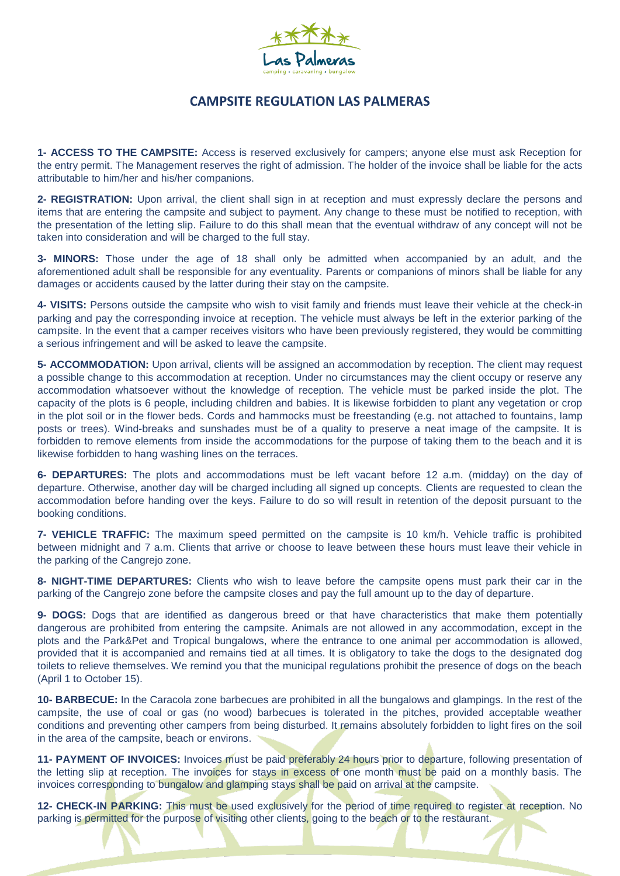

## **CAMPSITE REGULATION LAS PALMERAS**

**1- ACCESS TO THE CAMPSITE:** Access is reserved exclusively for campers; anyone else must ask Reception for the entry permit. The Management reserves the right of admission. The holder of the invoice shall be liable for the acts attributable to him/her and his/her companions.

**2- REGISTRATION:** Upon arrival, the client shall sign in at reception and must expressly declare the persons and items that are entering the campsite and subject to payment. Any change to these must be notified to reception, with the presentation of the letting slip. Failure to do this shall mean that the eventual withdraw of any concept will not be taken into consideration and will be charged to the full stay.

**3- MINORS:** Those under the age of 18 shall only be admitted when accompanied by an adult, and the aforementioned adult shall be responsible for any eventuality. Parents or companions of minors shall be liable for any damages or accidents caused by the latter during their stay on the campsite.

**4- VISITS:** Persons outside the campsite who wish to visit family and friends must leave their vehicle at the check-in parking and pay the corresponding invoice at reception. The vehicle must always be left in the exterior parking of the campsite. In the event that a camper receives visitors who have been previously registered, they would be committing a serious infringement and will be asked to leave the campsite.

**5- ACCOMMODATION:** Upon arrival, clients will be assigned an accommodation by reception. The client may request a possible change to this accommodation at reception. Under no circumstances may the client occupy or reserve any accommodation whatsoever without the knowledge of reception. The vehicle must be parked inside the plot. The capacity of the plots is 6 people, including children and babies. It is likewise forbidden to plant any vegetation or crop in the plot soil or in the flower beds. Cords and hammocks must be freestanding (e.g. not attached to fountains, lamp posts or trees). Wind-breaks and sunshades must be of a quality to preserve a neat image of the campsite. It is forbidden to remove elements from inside the accommodations for the purpose of taking them to the beach and it is likewise forbidden to hang washing lines on the terraces.

**6- DEPARTURES:** The plots and accommodations must be left vacant before 12 a.m. (midday) on the day of departure. Otherwise, another day will be charged including all signed up concepts. Clients are requested to clean the accommodation before handing over the keys. Failure to do so will result in retention of the deposit pursuant to the booking conditions.

**7- VEHICLE TRAFFIC:** The maximum speed permitted on the campsite is 10 km/h. Vehicle traffic is prohibited between midnight and 7 a.m. Clients that arrive or choose to leave between these hours must leave their vehicle in the parking of the Cangrejo zone.

**8- NIGHT-TIME DEPARTURES:** Clients who wish to leave before the campsite opens must park their car in the parking of the Cangrejo zone before the campsite closes and pay the full amount up to the day of departure.

**9- DOGS:** Dogs that are identified as dangerous breed or that have characteristics that make them potentially dangerous are prohibited from entering the campsite. Animals are not allowed in any accommodation, except in the plots and the Park&Pet and Tropical bungalows, where the entrance to one animal per accommodation is allowed, provided that it is accompanied and remains tied at all times. It is obligatory to take the dogs to the designated dog toilets to relieve themselves. We remind you that the municipal regulations prohibit the presence of dogs on the beach (April 1 to October 15).

**10- BARBECUE:** In the Caracola zone barbecues are prohibited in all the bungalows and glampings. In the rest of the campsite, the use of coal or gas (no wood) barbecues is tolerated in the pitches, provided acceptable weather conditions and preventing other campers from being disturbed. It remains absolutely forbidden to light fires on the soil in the area of the campsite, beach or environs.

**11- PAYMENT OF INVOICES:** Invoices must be paid preferably 24 hours prior to departure, following presentation of the letting slip at reception. The invoices for stays in excess of one month must be paid on a monthly basis. The invoices corresponding to bungalow and glamping stays shall be paid on arrival at the campsite.

**12- CHECK-IN PARKING:** This must be used exclusively for the period of time required to register at reception. No parking is permitted for the purpose of visiting other clients, going to the beach or to the restaurant.